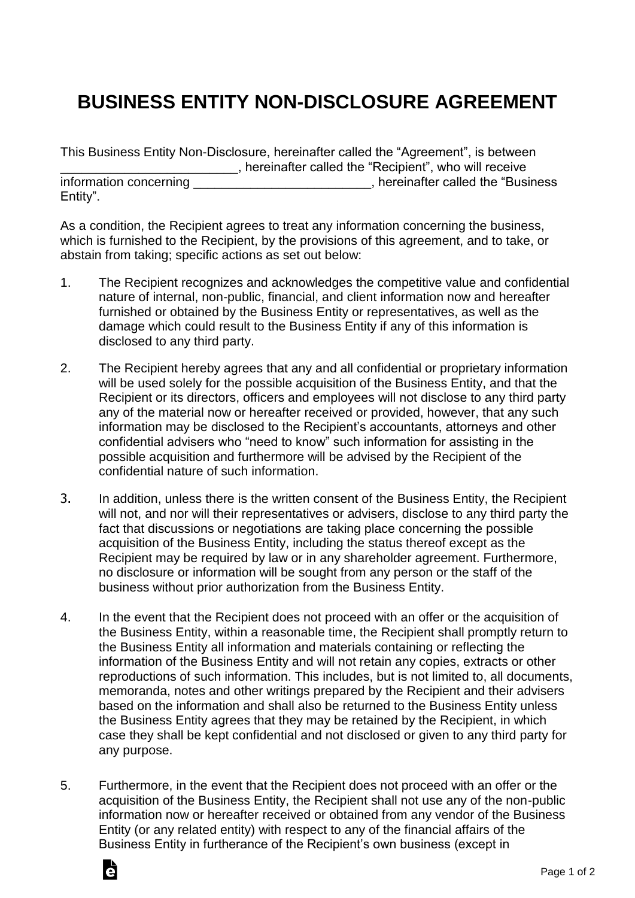## **BUSINESS ENTITY NON-DISCLOSURE AGREEMENT**

| This Business Entity Non-Disclosure, hereinafter called the "Agreement", is between |                                                        |
|-------------------------------------------------------------------------------------|--------------------------------------------------------|
|                                                                                     | , hereinafter called the "Recipient", who will receive |
| information concerning                                                              | , hereinafter called the "Business                     |
| Entity".                                                                            |                                                        |

As a condition, the Recipient agrees to treat any information concerning the business, which is furnished to the Recipient, by the provisions of this agreement, and to take, or abstain from taking; specific actions as set out below:

- 1. The Recipient recognizes and acknowledges the competitive value and confidential nature of internal, non-public, financial, and client information now and hereafter furnished or obtained by the Business Entity or representatives, as well as the damage which could result to the Business Entity if any of this information is disclosed to any third party.
- 2. The Recipient hereby agrees that any and all confidential or proprietary information will be used solely for the possible acquisition of the Business Entity, and that the Recipient or its directors, officers and employees will not disclose to any third party any of the material now or hereafter received or provided, however, that any such information may be disclosed to the Recipient's accountants, attorneys and other confidential advisers who "need to know" such information for assisting in the possible acquisition and furthermore will be advised by the Recipient of the confidential nature of such information.
- 3. In addition, unless there is the written consent of the Business Entity, the Recipient will not, and nor will their representatives or advisers, disclose to any third party the fact that discussions or negotiations are taking place concerning the possible acquisition of the Business Entity, including the status thereof except as the Recipient may be required by law or in any shareholder agreement. Furthermore, no disclosure or information will be sought from any person or the staff of the business without prior authorization from the Business Entity.
- 4. In the event that the Recipient does not proceed with an offer or the acquisition of the Business Entity, within a reasonable time, the Recipient shall promptly return to the Business Entity all information and materials containing or reflecting the information of the Business Entity and will not retain any copies, extracts or other reproductions of such information. This includes, but is not limited to, all documents, memoranda, notes and other writings prepared by the Recipient and their advisers based on the information and shall also be returned to the Business Entity unless the Business Entity agrees that they may be retained by the Recipient, in which case they shall be kept confidential and not disclosed or given to any third party for any purpose.
- 5. Furthermore, in the event that the Recipient does not proceed with an offer or the acquisition of the Business Entity, the Recipient shall not use any of the non-public information now or hereafter received or obtained from any vendor of the Business Entity (or any related entity) with respect to any of the financial affairs of the Business Entity in furtherance of the Recipient's own business (except in